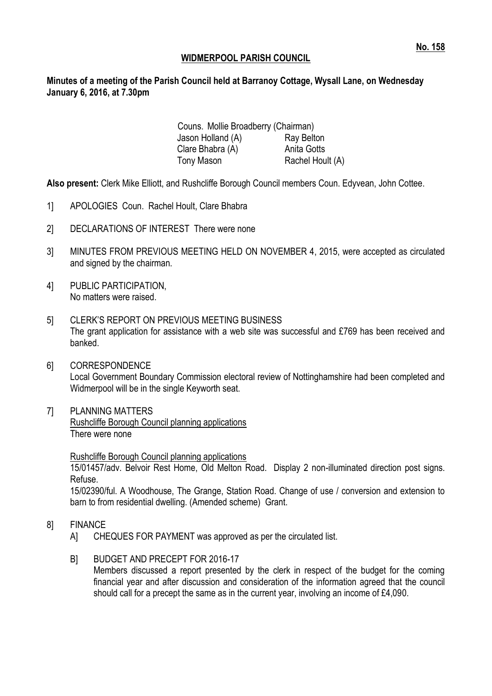### **WIDMERPOOL PARISH COUNCIL**

### **Minutes of a meeting of the Parish Council held at Barranoy Cottage, Wysall Lane, on Wednesday January 6, 2016, at 7.30pm**

Couns. Mollie Broadberry (Chairman) Jason Holland (A) Ray Belton Clare Bhabra (A) **Anita Gotts** Tony Mason Rachel Hoult (A)

**Also present:** Clerk Mike Elliott, and Rushcliffe Borough Council members Coun. Edyvean, John Cottee.

- 1] APOLOGIES Coun. Rachel Hoult, Clare Bhabra
- 2] DECLARATIONS OF INTEREST There were none
- 3] MINUTES FROM PREVIOUS MEETING HELD ON NOVEMBER 4, 2015, were accepted as circulated and signed by the chairman.
- 4] PUBLIC PARTICIPATION, No matters were raised.
- 5] CLERK'S REPORT ON PREVIOUS MEETING BUSINESS The grant application for assistance with a web site was successful and £769 has been received and banked.
- 6] CORRESPONDENCE Local Government Boundary Commission electoral review of Nottinghamshire had been completed and Widmerpool will be in the single Keyworth seat.
- 7] PLANNING MATTERS Rushcliffe Borough Council planning applications There were none

Rushcliffe Borough Council planning applications

15/01457/adv. Belvoir Rest Home, Old Melton Road. Display 2 non-illuminated direction post signs. Refuse.

15/02390/ful. A Woodhouse, The Grange, Station Road. Change of use / conversion and extension to barn to from residential dwelling. (Amended scheme) Grant.

- 8] FINANCE
	- A] CHEQUES FOR PAYMENT was approved as per the circulated list.
	- B] BUDGET AND PRECEPT FOR 2016-17 Members discussed a report presented by the clerk in respect of the budget for the coming financial year and after discussion and consideration of the information agreed that the council should call for a precept the same as in the current year, involving an income of £4,090.